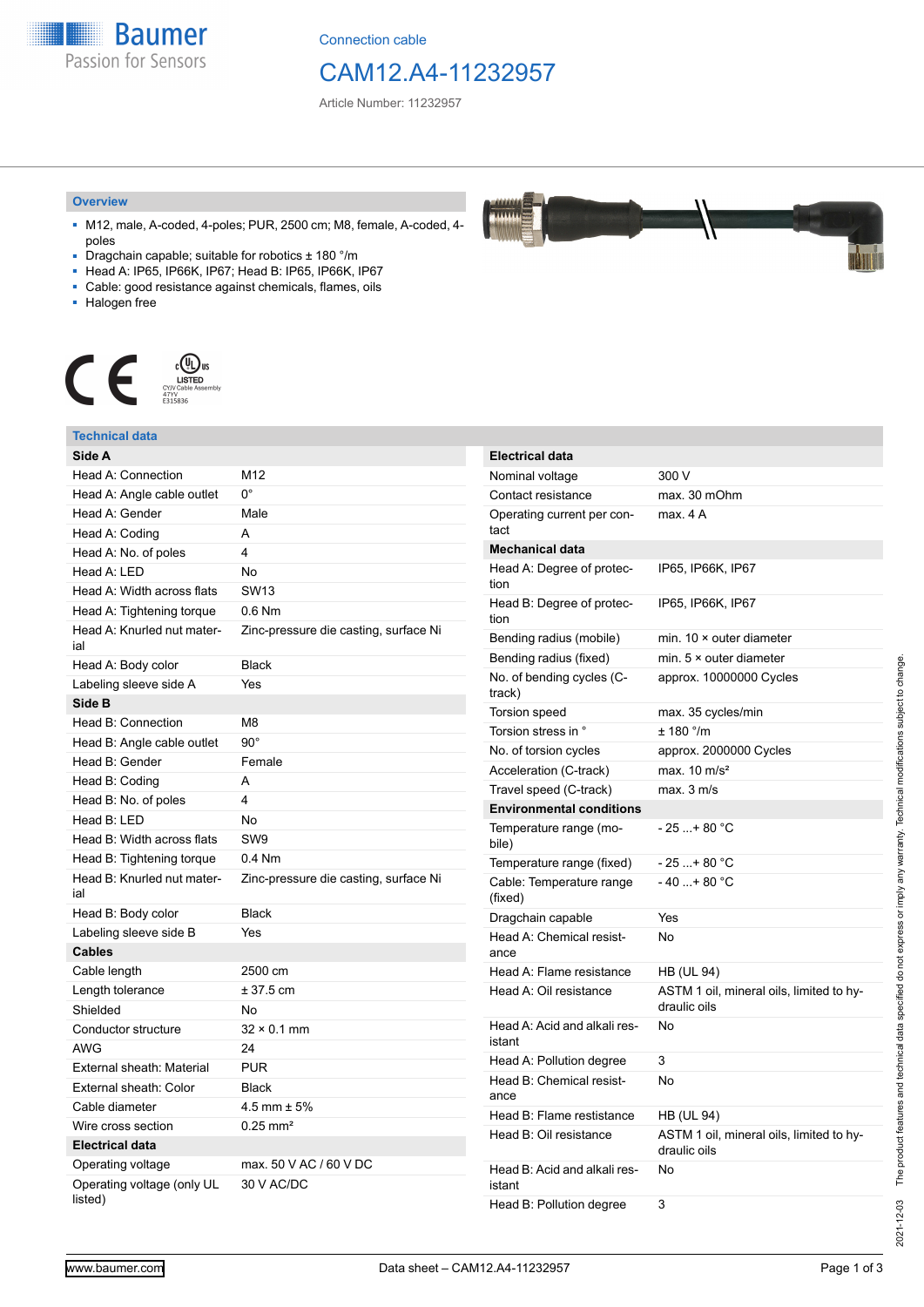**Baumer** Passion for Sensors

Connection cable

## CAM12.A4-11232957

Article Number: 11232957

#### **Overview**

- M12, male, A-coded, 4-poles; PUR, 2500 cm; M8, female, A-coded, 4 poles
- Dragchain capable; suitable for robotics ± 180 °/m
- Head A: IP65, IP66K, IP67; Head B: IP65, IP66K, IP67
- Cable: good resistance against chemicals, flames, oils
- Halogen free



### **Technical data**

|  | Side A                                |                                       | <b>Electrical data</b>              |                          |
|--|---------------------------------------|---------------------------------------|-------------------------------------|--------------------------|
|  | Head A: Connection                    | M <sub>12</sub>                       | Nominal voltage                     | 3                        |
|  | Head A: Angle cable outlet            | $0^{\circ}$                           | Contact resistance                  | m                        |
|  | Head A: Gender                        | Male                                  | Operating current per con-          | m                        |
|  | Head A: Coding                        | A                                     | tact                                |                          |
|  | Head A: No. of poles                  | 4                                     | <b>Mechanical data</b>              |                          |
|  | Head A: LED                           | <b>No</b>                             | Head A: Degree of protec-           | IF                       |
|  | Head A: Width across flats            | <b>SW13</b>                           | tion                                |                          |
|  | Head A: Tightening torque             | $0.6$ Nm                              | Head B: Degree of protec-<br>tion   | IF                       |
|  | Head A: Knurled nut mater-<br>ial     | Zinc-pressure die casting, surface Ni | Bending radius (mobile)             | m                        |
|  | Head A: Body color                    | <b>Black</b>                          | Bending radius (fixed)              | m                        |
|  | Labeling sleeve side A                | Yes                                   | No. of bending cycles (C-           | a                        |
|  | Side B                                |                                       | track)                              |                          |
|  | Head B: Connection                    | M <sub>8</sub>                        | <b>Torsion speed</b>                | m                        |
|  | Head B: Angle cable outlet            | $90^\circ$                            | Torsion stress in °                 | Ŧ                        |
|  | Head B: Gender                        | Female                                | No. of torsion cycles               | a                        |
|  | Head B: Coding                        | A                                     | Acceleration (C-track)              | m                        |
|  | Head B: No. of poles                  | 4                                     | Travel speed (C-track)              | m                        |
|  | Head B: LED                           | <b>No</b>                             | <b>Environmental conditions</b>     |                          |
|  | Head B: Width across flats            | SW <sub>9</sub>                       | Temperature range (mo-<br>bile)     | $ \overline{a}$          |
|  | Head B: Tightening torque             | $0.4$ Nm                              | Temperature range (fixed)           | $-$ )                    |
|  | Head B: Knurled nut mater-<br>ial     | Zinc-pressure die casting, surface Ni | Cable: Temperature range<br>(fixed) | $\overline{\phantom{a}}$ |
|  | Head B: Body color                    | <b>Black</b>                          | Dragchain capable                   | Υ                        |
|  | Labeling sleeve side B                | Yes                                   | Head A: Chemical resist-            | N                        |
|  | <b>Cables</b>                         |                                       | ance                                |                          |
|  | Cable length                          | 2500 cm                               | Head A: Flame resistance            | Н                        |
|  | Length tolerance                      | $± 37.5$ cm                           | Head A: Oil resistance              | Α                        |
|  | Shielded                              | No.                                   |                                     | d                        |
|  | Conductor structure                   | $32 \times 0.1$ mm                    | Head A: Acid and alkali res-        | N                        |
|  | <b>AWG</b>                            | 24                                    | istant                              |                          |
|  | External sheath: Material             | <b>PUR</b>                            | Head A: Pollution degree            | 3                        |
|  | External sheath: Color                | <b>Black</b>                          | Head B: Chemical resist-<br>ance    | N                        |
|  | Cable diameter                        | 4.5 mm $\pm$ 5%                       | Head B: Flame restistance           | н                        |
|  | Wire cross section                    | $0.25 \text{ mm}^2$                   | Head B: Oil resistance              | A                        |
|  | <b>Electrical data</b>                |                                       |                                     | d                        |
|  | Operating voltage                     | max, 50 V AC / 60 V DC                | Head B: Acid and alkali res-        | N                        |
|  | Operating voltage (only UL<br>listed) | 30 V AC/DC                            | istant<br>Head B: Pollution degree  | 3                        |
|  |                                       |                                       |                                     |                          |

| Electrical data                        |                                                           |
|----------------------------------------|-----------------------------------------------------------|
| Nominal voltage                        | 300 V                                                     |
| Contact resistance                     | max. 30 mOhm                                              |
| Operating current per con-<br>tact     | max 4 A                                                   |
| Mechanical data                        |                                                           |
| Head A: Degree of protec-<br>tion      | IP65, IP66K, IP67                                         |
| Head B: Degree of protec-<br>tion      | IP65, IP66K, IP67                                         |
| Bending radius (mobile)                | min. $10 \times$ outer diameter                           |
| Bending radius (fixed)                 | min. $5 \times$ outer diameter                            |
| No. of bending cycles (C-<br>track)    | approx. 10000000 Cycles                                   |
| Torsion speed                          | max. 35 cycles/min                                        |
| Torsion stress in °                    | $± 180$ °/m                                               |
| No. of torsion cycles                  | approx. 2000000 Cycles                                    |
| Acceleration (C-track)                 | max. $10 \text{ m/s}^2$                                   |
| Travel speed (C-track)                 | max. 3 m/s                                                |
| <b>Environmental conditions</b>        |                                                           |
| Temperature range (mo-<br>bile)        | - 25 + 80 °C                                              |
| Temperature range (fixed)              | - 25 + 80 °C                                              |
| Cable: Temperature range<br>(fixed)    | - 40 + 80 °C                                              |
| Dragchain capable                      | Yes                                                       |
| Head A: Chemical resist-<br>ance       | No                                                        |
| Head A: Flame resistance               | <b>HB (UL 94)</b>                                         |
| Head A: Oil resistance                 | ASTM 1 oil, mineral oils, limited to hy-<br>draulic oils  |
| Head A: Acid and alkali res-<br>istant | No                                                        |
| Head A: Pollution degree               | 3                                                         |
| Head B: Chemical resist-<br>ance       | <b>No</b>                                                 |
| Head B: Flame restistance              | <b>HB (UL 94)</b>                                         |
| Head B: Oil resistance                 | ASTM 1 oil, mineral oils, limited to hy-<br>draulic oils. |

No

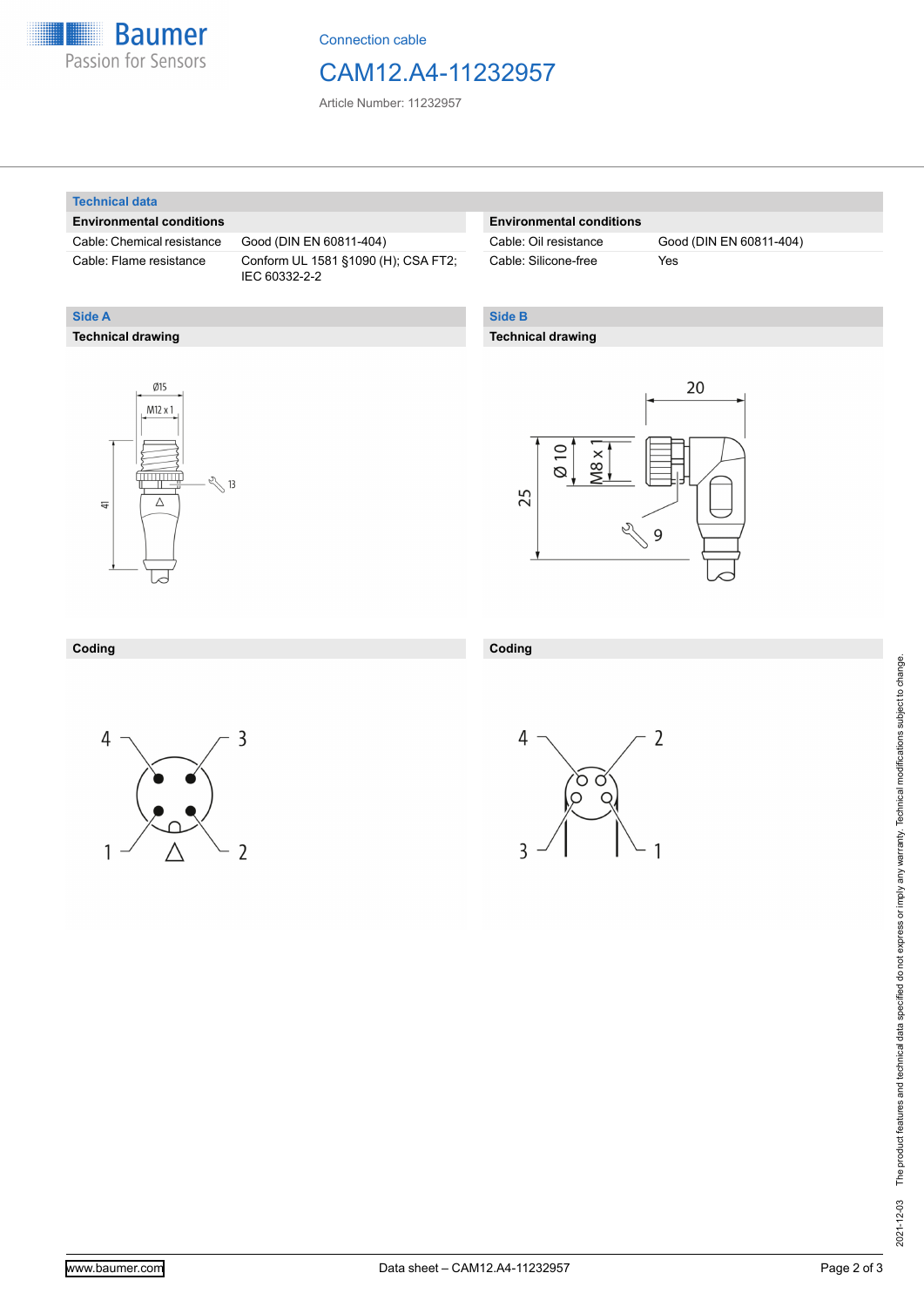

Connection cable

## CAM12.A4-11232957

Article Number: 11232957

#### **Technical data**

**Technical drawing**

**Side A**

#### **Environmental conditions**

Cable: Chemical resistance Good (DIN EN 60811-404)

Cable: Flame resistance Conform UL 1581 §1090 (H); CSA FT2; IEC 60332-2-2

#### **Environmental conditions**

Cable: Silicone-free Yes

Cable: Oil resistance Good (DIN EN 60811-404)

### **Side B**

**Coding**

#### **Technical drawing**





#### **Coding**